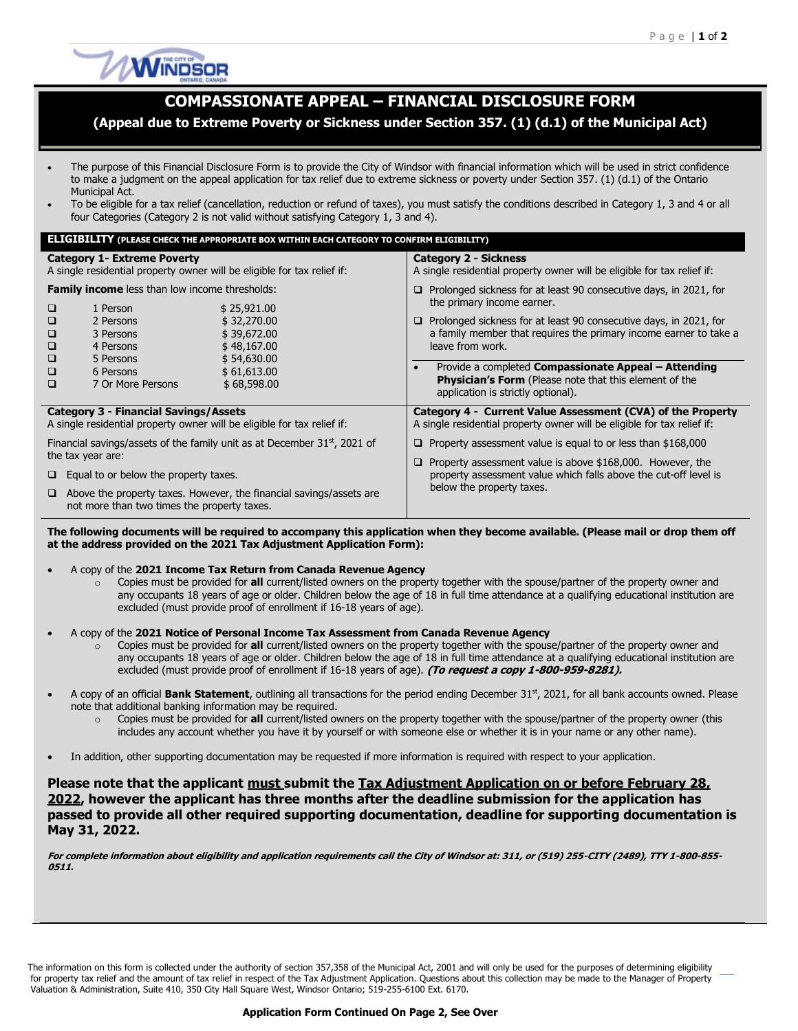

## **COMPASSIONATE APPEAL – FINANCIAL DISCLOSURE FORM**

## **(Appeal due to Extreme Poverty or Sickness under Section 357. (1) (d.1) of the Municipal Act)**

- The purpose of this Financial Disclosure Form is to provide the City of Windsor with financial information which will be used in strict confidence to make a judgment on the appeal application for tax relief due to extreme sickness or poverty under Section 357. (1) (d.1) of the Ontario Municipal Act.
- To be eligible for a tax relief (cancellation, reduction or refund of taxes), you must satisfy the conditions described in Category 1, 3 and 4 or all four Categories (Category 2 is not valid without satisfying Category 1, 3 and 4).

| <b>ELIGIBILITY (PLEASE CHECK THE APPROPRIATE BOX WITHIN EACH CATEGORY TO CONFIRM ELIGIBILITY)</b>                                                                                                                                                                                                                                      |                                                                                                                                                                                                                                                                                                                                                                                                                                                                |  |  |  |  |  |  |  |
|----------------------------------------------------------------------------------------------------------------------------------------------------------------------------------------------------------------------------------------------------------------------------------------------------------------------------------------|----------------------------------------------------------------------------------------------------------------------------------------------------------------------------------------------------------------------------------------------------------------------------------------------------------------------------------------------------------------------------------------------------------------------------------------------------------------|--|--|--|--|--|--|--|
| <b>Category 1- Extreme Poverty</b><br>A single residential property owner will be eligible for tax relief if:                                                                                                                                                                                                                          | <b>Category 2 - Sickness</b><br>A single residential property owner will be eligible for tax relief if:                                                                                                                                                                                                                                                                                                                                                        |  |  |  |  |  |  |  |
| <b>Family income</b> less than low income thresholds:<br>\$25,921.00<br>$\Box$<br>1 Person<br>\$32,270.00<br>$\Box$<br>2 Persons<br>\$39,672.00<br>$\Box$<br>3 Persons<br>$\Box$<br>\$48,167.00<br>4 Persons<br>$\Box$<br>\$54,630.00<br>5 Persons<br>$\Box$<br>\$61,613.00<br>6 Persons<br>$\Box$<br>7 Or More Persons<br>\$68,598.00 | $\Box$ Prolonged sickness for at least 90 consecutive days, in 2021, for<br>the primary income earner.<br>$\Box$ Prolonged sickness for at least 90 consecutive days, in 2021, for<br>a family member that requires the primary income earner to take a<br>leave from work.<br>Provide a completed <b>Compassionate Appeal - Attending</b><br>$\bullet$<br><b>Physician's Form</b> (Please note that this element of the<br>application is strictly optional). |  |  |  |  |  |  |  |
| <b>Category 3 - Financial Savings/Assets</b><br>A single residential property owner will be eligible for tax relief if:                                                                                                                                                                                                                | Category 4 - Current Value Assessment (CVA) of the Property<br>A single residential property owner will be eligible for tax relief if:                                                                                                                                                                                                                                                                                                                         |  |  |  |  |  |  |  |
| Financial savings/assets of the family unit as at December 31 <sup>st</sup> , 2021 of<br>the tax year are:<br>$\Box$ Equal to or below the property taxes.<br>$\Box$ Above the property taxes. However, the financial savings/assets are<br>not more than two times the property taxes.                                                | $\Box$ Property assessment value is equal to or less than \$168,000<br>$\Box$ Property assessment value is above \$168,000. However, the<br>property assessment value which falls above the cut-off level is<br>below the property taxes.                                                                                                                                                                                                                      |  |  |  |  |  |  |  |

**The following documents will be required to accompany this application when they become available. (Please mail or drop them off at the address provided on the 2021 Tax Adjustment Application Form):**

A copy of the **2021 Income Tax Return from Canada Revenue Agency**

o Copies must be provided for **all** current/listed owners on the property together with the spouse/partner of the property owner and any occupants 18 years of age or older. Children below the age of 18 in full time attendance at a qualifying educational institution are excluded (must provide proof of enrollment if 16-18 years of age).

A copy of the **2021 Notice of Personal Income Tax Assessment from Canada Revenue Agency**

- Copies must be provided for all current/listed owners on the property together with the spouse/partner of the property owner and any occupants 18 years of age or older. Children below the age of 18 in full time attendance at a qualifying educational institution are excluded (must provide proof of enrollment if 16-18 years of age). **(To request a copy 1-800-959-8281).**
- A copy of an official **Bank Statement**, outlining all transactions for the period ending December 31<sup>st</sup>, 2021, for all bank accounts owned. Please note that additional banking information may be required.
	- o Copies must be provided for **all** current/listed owners on the property together with the spouse/partner of the property owner (this includes any account whether you have it by yourself or with someone else or whether it is in your name or any other name).
- In addition, other supporting documentation may be requested if more information is required with respect to your application.

**Please note that the applicant must submit the Tax Adjustment Application on or before February 28, 2022, however the applicant has three months after the deadline submission for the application has passed to provide all other required supporting documentation, deadline for supporting documentation is May 31, 2022.**

**For complete information about eligibility and application requirements call the City of Windsor at: 311, or (519) 255-CITY (2489), TTY 1-800-855- 0511.**

The information on this form is collected under the authority of section 357,358 of the Municipal Act, 2001 and will only be used for the purposes of determining eligibility for property tax relief and the amount of tax relief in respect of the Tax Adjustment Application. Questions about this collection may be made to the Manager of Property Valuation & Administration, Suite 410, 350 City Hall Square West, Windsor Ontario; 519-255-6100 Ext. 6170.